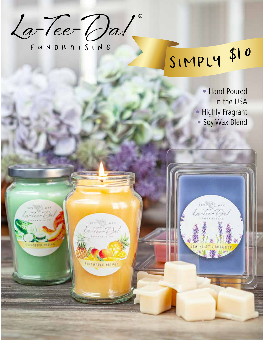**La-Tee-Da!** ®

XOT SAN

 $-(ec - C)$ 

PINEAPRLE MANGO

 $W\neq 0$ 

FUNDRAISING

**RAW BAY ARE**  $-1$ er - On

**CONTEER MIELE** 

# SIMPLY \$10

son I wax<br>La-Tec-Da!

SCA MIST

• Hand Poured in the USA • Highly Fragrant • Soy Wax Blend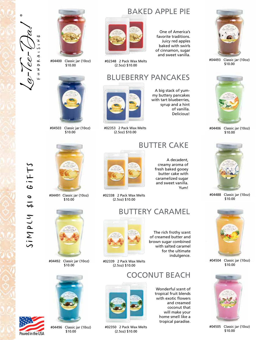



#04400 Classic jar (10oz)  $$10.00$ 



#04503 Classic jar (10oz) \$10.00



#04491 Classic jar (10oz) \$10.00



#04492 Classic jar (10oz) \$10.00

 $Simplies$ <br>Poured in the USA

Poured in the USA

 $G$  $I$  $F$  $T$  $S$ 

 $013$ 

SiMPLY



#04496 Classic jar (10oz) \$10.00

#### BAKED APPLE PIE



#02348 2 Pack Wax Melts (2.5oz) \$10.00

#### BLUEBERRY PANCAKES

A big stack of yummy buttery pancakes with tart blueberries,

#02353 2 Pack Wax Melts (2.5oz) \$10.00



A decadent, creamy aroma of fresh baked gooey butter cake with caramelized sugar and sweet vanilla. Yum!

The rich frothy scent of creamed butter and brown sugar combined with salted caramel for the ultimate indulgence.

> Wonderful scent of tropical fruit blends with exotic flowers and creamed coconut that will make your home smell like a tropical paradise.

COCONUT BEACH



#02338 2 Pack Wax Melts (2.5oz) \$10.00





#02339 2 Pack Wax Melts (2.5oz) \$10.00



#02350 2 Pack Wax Melts (2.5oz) \$10.00



syrup and a hint of vanilla. Delicious!

#04493 Classic jar (10oz) \$10.00



#04406 Classic jar (10oz) \$10.00



#04488 Classic jar (10oz) \$10.00



#04504 Classic jar (10oz) \$10.00



#04505 Classic jar (10oz) \$10.00



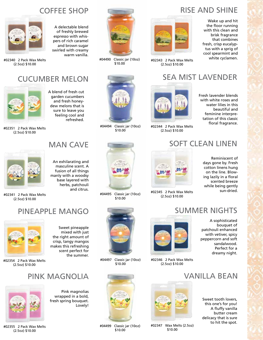### COFFEE SHOP

A delectable blend of freshly brewed espresso with whispers of rich caramel and brown sugar swirled with creamy warm vanilla.

#02340 2 Pack Wax Melts (2.5oz) \$10.00

#### CUCUMBER MELON



A blend of fresh cut garden cucumbers and fresh honeydew melons that is sure to leave you feeling cool and refreshed.

#02351 2 Pack Wax Melts (2.5oz) \$10.00



MAN CAVE

An exhilarating and masculine scent. A fusion of all things manly with a woodsy base layered with herbs, patchouli and citrus.

#04494 Classic jar (10oz) \$10.00

#04490 Classic jar (10oz) \$10.00

#04495 Classic jar (10oz) \$10.00



Wake up and hit the floor running with this clean and brisk fragrance that combines fresh, crisp eucalyptus with a sprig of cool spearmint and white cyclamen.



#02343 2 Pack Wax Melts (2.5oz) \$10.00

#### SEA MIST LAVENDER



#02344 2 Pack Wax Melts (2.5oz) \$10.00



#### SOFT CLEAN LINEN



#02345 2 Pack Wax Melts (2.5oz) \$10.00



SUMMER NIGHTS



#02346 2 Pack Wax Melts (2.5oz) \$10.00



Sweet tooth lovers, this one's for you! A fluffy vanilla butter cream delicacy that is sure to hit the spot.



#02354 2 Pack Wax Melts (2.5oz) \$10.00

## PINK MAGNOLIA

Pink magnolias wrapped in a bold, fresh spring bouquet.

Sweet pineapple mixed with just the right amount of crisp, tangy mangos makes this refreshing scent perfect for the summer.

Lovely!



#02355 2 Pack Wax Melts (2.5oz) \$10.00

\$10.00







#02347 Wax Melts (2.5oz) \$10.00